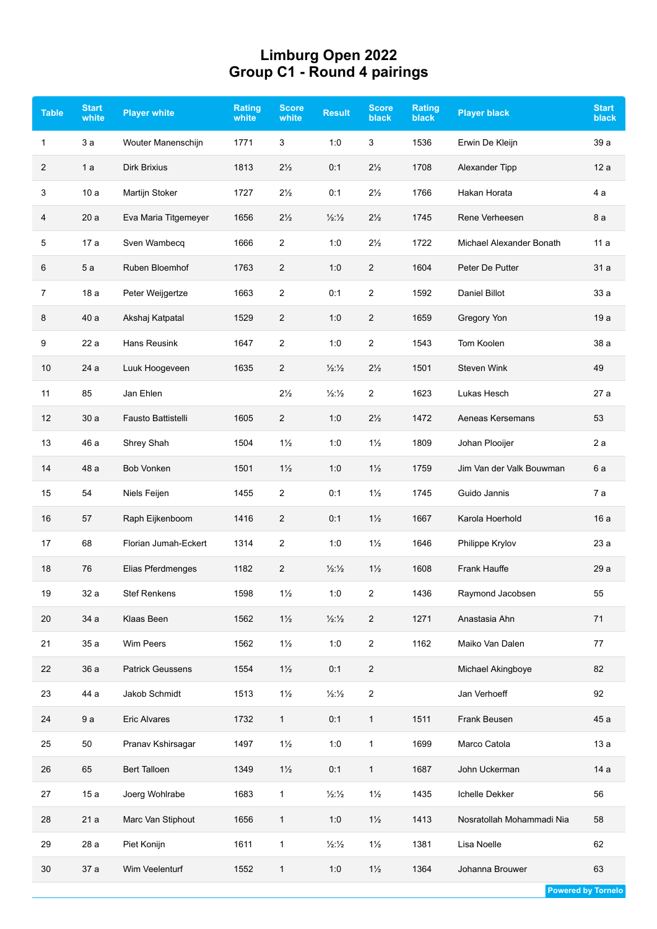## **Limburg Open 2022 Group C1 - Round 4 pairings**

| <b>Table</b> | <b>Start</b><br>white | <b>Player white</b>     | Rating<br>white | <b>Score</b><br>white | <b>Result</b>            | <b>Score</b><br><b>black</b> | <b>Rating</b><br><b>black</b> | <b>Player black</b>       | <b>Start</b><br>black |
|--------------|-----------------------|-------------------------|-----------------|-----------------------|--------------------------|------------------------------|-------------------------------|---------------------------|-----------------------|
| 1            | 3a                    | Wouter Manenschijn      | 1771            | 3                     | 1:0                      | 3                            | 1536                          | Erwin De Kleijn           | 39 a                  |
| 2            | 1a                    | Dirk Brixius            | 1813            | $2\frac{1}{2}$        | 0:1                      | $2\frac{1}{2}$               | 1708                          | Alexander Tipp            | 12a                   |
| 3            | 10 a                  | Martijn Stoker          | 1727            | $2\frac{1}{2}$        | 0:1                      | $2\frac{1}{2}$               | 1766                          | Hakan Horata              | 4a                    |
| 4            | 20a                   | Eva Maria Titgemeyer    | 1656            | $2\frac{1}{2}$        | $\frac{1}{2}\frac{1}{2}$ | $2\frac{1}{2}$               | 1745                          | Rene Verheesen            | 8 a                   |
| 5            | 17 a                  | Sven Wambecq            | 1666            | 2                     | 1:0                      | $2\frac{1}{2}$               | 1722                          | Michael Alexander Bonath  | 11a                   |
| 6            | 5a                    | Ruben Bloemhof          | 1763            | 2                     | 1:0                      | $\overline{2}$               | 1604                          | Peter De Putter           | 31a                   |
| 7            | 18 a                  | Peter Weijgertze        | 1663            | 2                     | 0:1                      | $\overline{2}$               | 1592                          | Daniel Billot             | 33a                   |
| 8            | 40 a                  | Akshaj Katpatal         | 1529            | $\overline{2}$        | 1:0                      | $\overline{2}$               | 1659                          | Gregory Yon               | 19 a                  |
| 9            | 22 a                  | Hans Reusink            | 1647            | 2                     | 1:0                      | $\overline{2}$               | 1543                          | Tom Koolen                | 38 a                  |
| 10           | 24 a                  | Luuk Hoogeveen          | 1635            | $\overline{2}$        | $\frac{1}{2}\frac{1}{2}$ | $2\frac{1}{2}$               | 1501                          | <b>Steven Wink</b>        | 49                    |
| 11           | 85                    | Jan Ehlen               |                 | $2\frac{1}{2}$        | $\frac{1}{2}\frac{1}{2}$ | $\overline{2}$               | 1623                          | Lukas Hesch               | 27 a                  |
| 12           | 30a                   | Fausto Battistelli      | 1605            | $\overline{2}$        | 1:0                      | $2\frac{1}{2}$               | 1472                          | Aeneas Kersemans          | 53                    |
| 13           | 46 a                  | Shrey Shah              | 1504            | $1\frac{1}{2}$        | 1:0                      | $1\frac{1}{2}$               | 1809                          | Johan Plooijer            | 2a                    |
| 14           | 48 a                  | <b>Bob Vonken</b>       | 1501            | $1\frac{1}{2}$        | 1:0                      | $1\frac{1}{2}$               | 1759                          | Jim Van der Valk Bouwman  | 6 a                   |
| 15           | 54                    | Niels Feijen            | 1455            | 2                     | 0:1                      | $1\frac{1}{2}$               | 1745                          | Guido Jannis              | 7 а                   |
| 16           | 57                    | Raph Eijkenboom         | 1416            | 2                     | 0:1                      | $1\frac{1}{2}$               | 1667                          | Karola Hoerhold           | 16 a                  |
| 17           | 68                    | Florian Jumah-Eckert    | 1314            | $\overline{2}$        | 1:0                      | $1\frac{1}{2}$               | 1646                          | Philippe Krylov           | 23 a                  |
| 18           | 76                    | Elias Pferdmenges       | 1182            | $\overline{2}$        | $\frac{1}{2}\frac{1}{2}$ | $1\frac{1}{2}$               | 1608                          | Frank Hauffe              | 29 a                  |
| 19           | 32 a                  | <b>Stef Renkens</b>     | 1598            | $1\frac{1}{2}$        | 1:0                      | $\overline{c}$               | 1436                          | Raymond Jacobsen          | 55                    |
| 20           | 34 a                  | Klaas Been              | 1562            | $1\frac{1}{2}$        | $\frac{1}{2}\frac{1}{2}$ | $\sqrt{2}$                   | 1271                          | Anastasia Ahn             | 71                    |
| 21           | 35 a                  | Wim Peers               | 1562            | $1\frac{1}{2}$        | 1:0                      | $\overline{2}$               | 1162                          | Maiko Van Dalen           | 77                    |
| 22           | 36a                   | <b>Patrick Geussens</b> | 1554            | $1\frac{1}{2}$        | 0:1                      | $\overline{c}$               |                               | Michael Akingboye         | 82                    |
| 23           | 44 a                  | Jakob Schmidt           | 1513            | $1\frac{1}{2}$        | $\frac{1}{2}\frac{1}{2}$ | $\sqrt{2}$                   |                               | Jan Verhoeff              | 92                    |
| 24           | 9a                    | <b>Eric Alvares</b>     | 1732            | $\mathbf{1}$          | 0:1                      | $\mathbf{1}$                 | 1511                          | Frank Beusen              | 45 a                  |
| 25           | 50                    | Pranav Kshirsagar       | 1497            | $1\frac{1}{2}$        | 1:0                      | $\mathbf{1}$                 | 1699                          | Marco Catola              | 13a                   |
| 26           | 65                    | <b>Bert Talloen</b>     | 1349            | $1\frac{1}{2}$        | 0:1                      | $\mathbf{1}$                 | 1687                          | John Uckerman             | 14 a                  |
| 27           | 15a                   | Joerg Wohlrabe          | 1683            | 1                     | $\frac{1}{2}\frac{1}{2}$ | $1\frac{1}{2}$               | 1435                          | Ichelle Dekker            | 56                    |
| 28           | 21 a                  | Marc Van Stiphout       | 1656            | $\mathbf{1}$          | 1:0                      | $1\frac{1}{2}$               | 1413                          | Nosratollah Mohammadi Nia | 58                    |
| 29           | 28 a                  | Piet Konijn             | 1611            | $\mathbf{1}$          | $\frac{1}{2}\frac{1}{2}$ | $1\frac{1}{2}$               | 1381                          | Lisa Noelle               | 62                    |
| 30           | 37 a                  | Wim Veelenturf          | 1552            | 1                     | $1:0$                    | $1\frac{1}{2}$               | 1364                          | Johanna Brouwer           | 63                    |